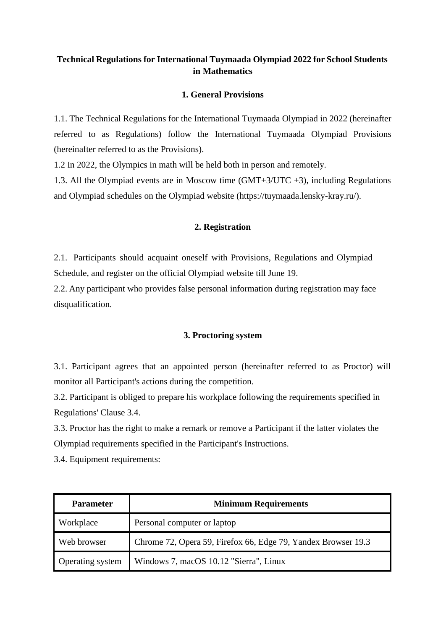# **Technical Regulations for International Tuymaada Olympiad 2022 for School Students in Mathematics**

# **1. General Provisions**

1.1. The Technical Regulations for the International Tuymaada Olympiad in 2022 (hereinafter referred to as Regulations) follow the International Tuymaada Olympiad Provisions (hereinafter referred to as the Provisions).

1.2 In 2022, the Olympics in math will be held both in person and remotely.

1.3. All the Olympiad events are in Moscow time (GMT+3/UTC +3), including Regulations and Olympiad schedules on the Olympiad website (https://tuymaada.lensky-kray.ru/).

# **2. Registration**

2.1. Participants should acquaint oneself with Provisions, Regulations and Olympiad Schedule, and register on the official Olympiad website till June 19.

2.2. Any participant who provides false personal information during registration may face disqualification.

#### **3. Proctoring system**

3.1. Participant agrees that an appointed person (hereinafter referred to as Proctor) will monitor all Participant's actions during the competition.

3.2. Participant is obliged to prepare his workplace following the requirements specified in Regulations' Clause 3.4.

3.3. Proctor has the right to make a remark or remove a Participant if the latter violates the Olympiad requirements specified in the Participant's Instructions.

3.4. Equipment requirements:

| <b>Parameter</b> | <b>Minimum Requirements</b>                                   |
|------------------|---------------------------------------------------------------|
| Workplace        | Personal computer or laptop                                   |
| Web browser      | Chrome 72, Opera 59, Firefox 66, Edge 79, Yandex Browser 19.3 |
| Operating system | Windows 7, macOS 10.12 "Sierra", Linux                        |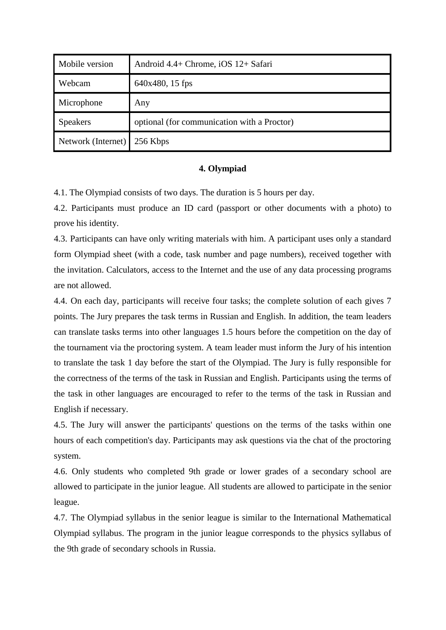| Mobile version     | Android 4.4+ Chrome, iOS 12+ Safari         |
|--------------------|---------------------------------------------|
| Webcam             | 640x480, 15 fps                             |
| Microphone         | Any                                         |
| <b>Speakers</b>    | optional (for communication with a Proctor) |
| Network (Internet) | 256 Kbps                                    |

#### **4. Olympiad**

4.1. The Olympiad consists of two days. The duration is 5 hours per day.

4.2. Participants must produce an ID card (passport or other documents with a photo) to prove his identity.

4.3. Participants can have only writing materials with him. A participant uses only a standard form Olympiad sheet (with a code, task number and page numbers), received together with the invitation. Calculators, access to the Internet and the use of any data processing programs are not allowed.

4.4. On each day, participants will receive four tasks; the complete solution of each gives 7 points. The Jury prepares the task terms in Russian and English. In addition, the team leaders can translate tasks terms into other languages 1.5 hours before the competition on the day of the tournament via the proctoring system. A team leader must inform the Jury of his intention to translate the task 1 day before the start of the Olympiad. The Jury is fully responsible for the correctness of the terms of the task in Russian and English. Participants using the terms of the task in other languages are encouraged to refer to the terms of the task in Russian and English if necessary.

4.5. The Jury will answer the participants' questions on the terms of the tasks within one hours of each competition's day. Participants may ask questions via the chat of the proctoring system.

4.6. Only students who completed 9th grade or lower grades of a secondary school are allowed to participate in the junior league. All students are allowed to participate in the senior league.

4.7. The Olympiad syllabus in the senior league is similar to the International Mathematical Olympiad syllabus. The program in the junior league corresponds to the physics syllabus of the 9th grade of secondary schools in Russia.